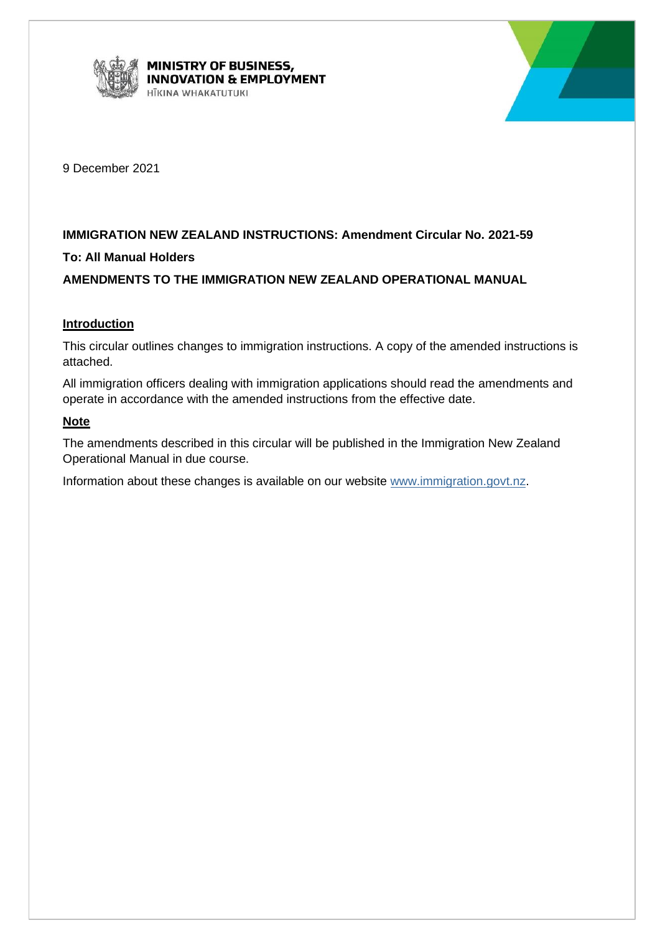



9 December 2021

# **IMMIGRATION NEW ZEALAND INSTRUCTIONS: Amendment Circular No. 2021-59**

# **To: All Manual Holders**

# **AMENDMENTS TO THE IMMIGRATION NEW ZEALAND OPERATIONAL MANUAL**

## **Introduction**

This circular outlines changes to immigration instructions. A copy of the amended instructions is attached.

All immigration officers dealing with immigration applications should read the amendments and operate in accordance with the amended instructions from the effective date.

## **Note**

The amendments described in this circular will be published in the Immigration New Zealand Operational Manual in due course.

Information about these changes is available on our website [www.immigration.govt.nz.](http://www.immigration.govt.nz/)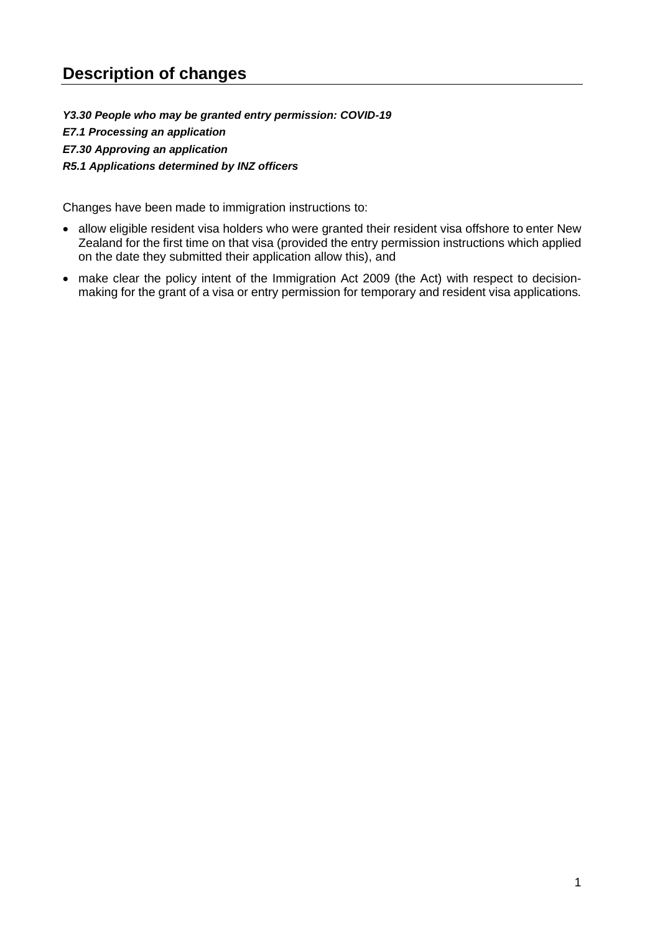*Y3.30 People who may be granted entry permission: COVID-19 E7.1 Processing an application E7.30 Approving an application R5.1 Applications determined by INZ officers*

Changes have been made to immigration instructions to:

- allow eligible resident visa holders who were granted their resident visa offshore to enter New Zealand for the first time on that visa (provided the entry permission instructions which applied on the date they submitted their application allow this), and
- make clear the policy intent of the Immigration Act 2009 (the Act) with respect to decisionmaking for the grant of a visa or entry permission for temporary and resident visa applications*.*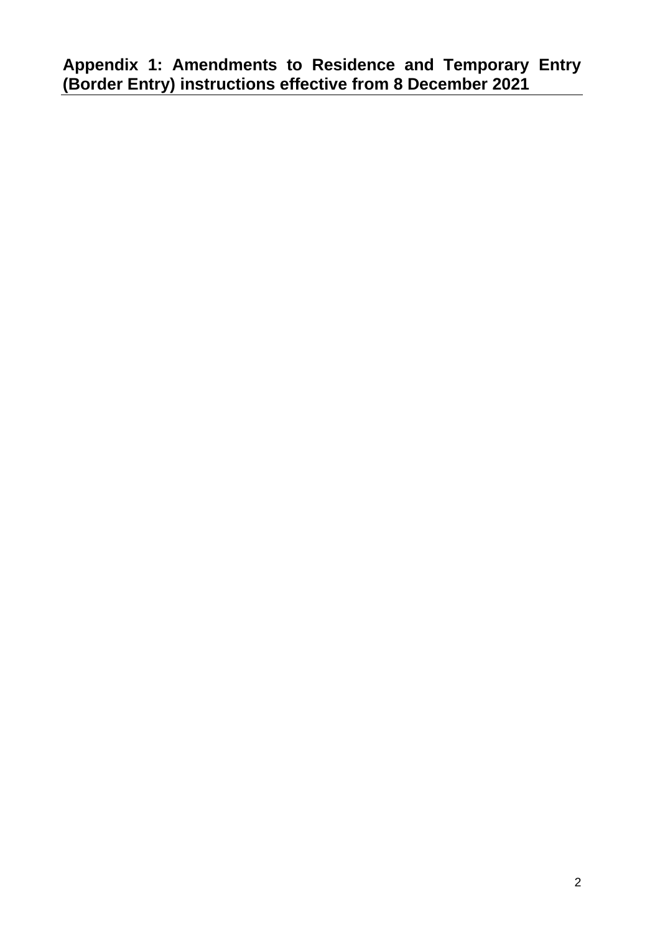**Appendix 1: Amendments to Residence and Temporary Entry (Border Entry) instructions effective from 8 December 2021**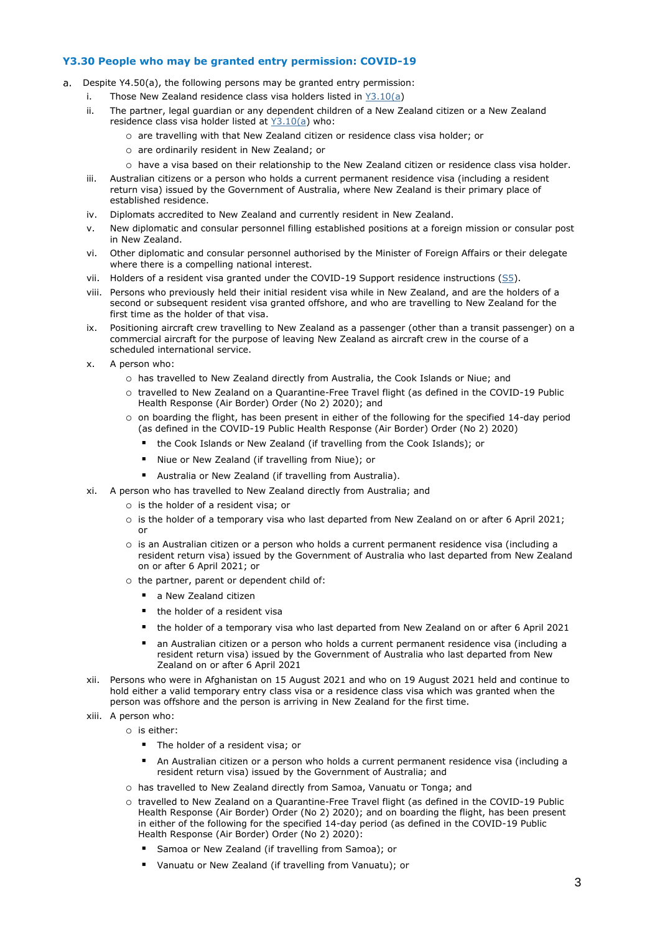#### **Y3.30 People who may be granted entry permission: COVID-19**

- Despite Y4.50(a), the following persons may be granted entry permission:
	- i. Those New Zealand residence class visa holders listed in [Y3.10\(a\)](http://inzkit/publish/opsmanual/#35375.htm)
	- ii. The partner, legal guardian or any dependent children of a New Zealand citizen or a New Zealand residence class visa holder listed at [Y3.10\(a\)](http://inzkit/publish/opsmanual/#35375.htm) who:
		- o are travelling with that New Zealand citizen or residence class visa holder; or
		- o are ordinarily resident in New Zealand; or
		- o have a visa based on their relationship to the New Zealand citizen or residence class visa holder.
	- iii. Australian citizens or a person who holds a current permanent residence visa (including a resident return visa) issued by the Government of Australia, where New Zealand is their primary place of established residence.
	- iv. Diplomats accredited to New Zealand and currently resident in New Zealand.
	- v. New diplomatic and consular personnel filling established positions at a foreign mission or consular post in New Zealand.
	- vi. Other diplomatic and consular personnel authorised by the Minister of Foreign Affairs or their delegate where there is a compelling national interest.
	- vii. Holders of a resident visa granted under the COVID-19 Support residence instructions ( $SI$ ).
	- viii. Persons who previously held their initial resident visa while in New Zealand, and are the holders of a second or subsequent resident visa granted offshore, and who are travelling to New Zealand for the first time as the holder of that visa.
	- ix. Positioning aircraft crew travelling to New Zealand as a passenger (other than a transit passenger) on a commercial aircraft for the purpose of leaving New Zealand as aircraft crew in the course of a scheduled international service.
	- x. A person who:
		- o has travelled to New Zealand directly from Australia, the Cook Islands or Niue; and
		- o travelled to New Zealand on a Quarantine-Free Travel flight (as defined in the COVID-19 Public Health Response (Air Border) Order (No 2) 2020); and
		- o on boarding the flight, has been present in either of the following for the specified 14-day period (as defined in the COVID-19 Public Health Response (Air Border) Order (No 2) 2020)
			- the Cook Islands or New Zealand (if travelling from the Cook Islands); or
			- Niue or New Zealand (if travelling from Niue); or
			- Australia or New Zealand (if travelling from Australia).
	- xi. A person who has travelled to New Zealand directly from Australia; and
		- o is the holder of a resident visa; or
		- o is the holder of a temporary visa who last departed from New Zealand on or after 6 April 2021; or
		- o is an Australian citizen or a person who holds a current permanent residence visa (including a resident return visa) issued by the Government of Australia who last departed from New Zealand on or after 6 April 2021; or
		- o the partner, parent or dependent child of:
			- a New Zealand citizen
			- the holder of a resident visa
			- the holder of a temporary visa who last departed from New Zealand on or after 6 April 2021
			- an Australian citizen or a person who holds a current permanent residence visa (including a resident return visa) issued by the Government of Australia who last departed from New Zealand on or after 6 April 2021
	- xii. Persons who were in Afghanistan on 15 August 2021 and who on 19 August 2021 held and continue to hold either a valid temporary entry class visa or a residence class visa which was granted when the person was offshore and the person is arriving in New Zealand for the first time.
	- xiii. A person who:
		- o is either:
			- The holder of a resident visa; or
			- An Australian citizen or a person who holds a current permanent residence visa (including a resident return visa) issued by the Government of Australia; and
			- o has travelled to New Zealand directly from Samoa, Vanuatu or Tonga; and
			- o travelled to New Zealand on a Quarantine-Free Travel flight (as defined in the COVID-19 Public Health Response (Air Border) Order (No 2) 2020); and on boarding the flight, has been present in either of the following for the specified 14-day period (as defined in the COVID-19 Public Health Response (Air Border) Order (No 2) 2020):
				- Samoa or New Zealand (if travelling from Samoa); or
				- Vanuatu or New Zealand (if travelling from Vanuatu); or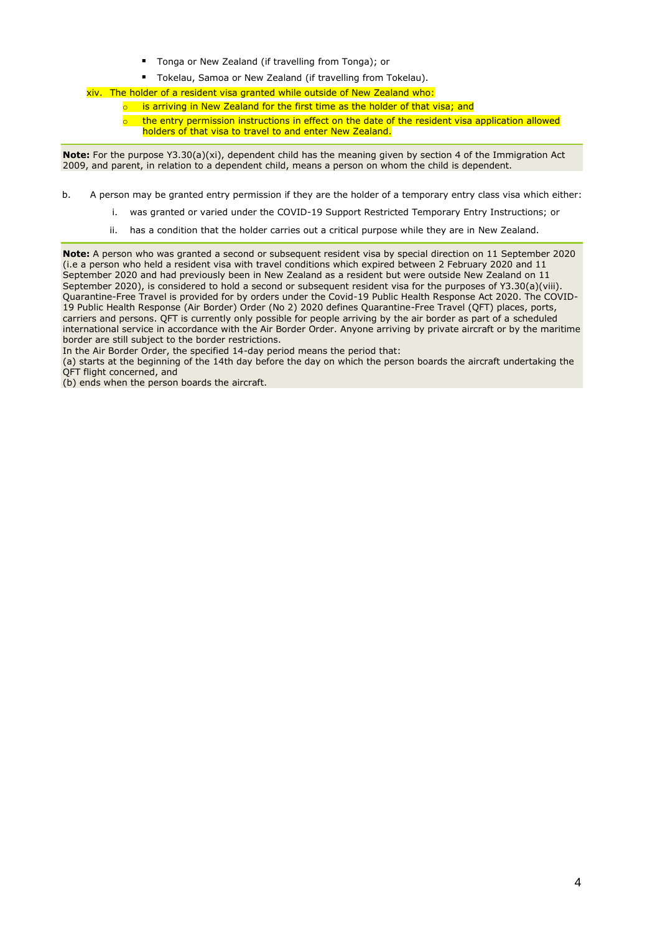- Tonga or New Zealand (if travelling from Tonga); or
- Tokelau, Samoa or New Zealand (if travelling from Tokelau).

xiv. The holder of a resident visa granted while outside of New Zealand who:

- is arriving in New Zealand for the first time as the holder of that visa; and
	- the entry permission instructions in effect on the date of the resident visa application allowed holders of that visa to travel to and enter New Zealand.

**Note:** For the purpose Y3.30(a)(xi), dependent child has the meaning given by section 4 of the Immigration Act 2009, and parent, in relation to a dependent child, means a person on whom the child is dependent.

b. A person may be granted entry permission if they are the holder of a temporary entry class visa which either:

- i. was granted or varied under the COVID-19 Support Restricted Temporary Entry Instructions; or
- ii. has a condition that the holder carries out a critical purpose while they are in New Zealand.

**Note:** A person who was granted a second or subsequent resident visa by special direction on 11 September 2020 (i.e a person who held a resident visa with travel conditions which expired between 2 February 2020 and 11 September 2020 and had previously been in New Zealand as a resident but were outside New Zealand on 11 September 2020), is considered to hold a second or subsequent resident visa for the purposes of Y3.30(a)(viii). Quarantine-Free Travel is provided for by orders under the Covid-19 Public Health Response Act 2020. The COVID-19 Public Health Response (Air Border) Order (No 2) 2020 defines Quarantine-Free Travel (QFT) places, ports, carriers and persons. QFT is currently only possible for people arriving by the air border as part of a scheduled international service in accordance with the Air Border Order. Anyone arriving by private aircraft or by the maritime border are still subject to the border restrictions.

In the Air Border Order, the specified 14-day period means the period that:

(a) starts at the beginning of the 14th day before the day on which the person boards the aircraft undertaking the QFT flight concerned, and

(b) ends when the person boards the aircraft.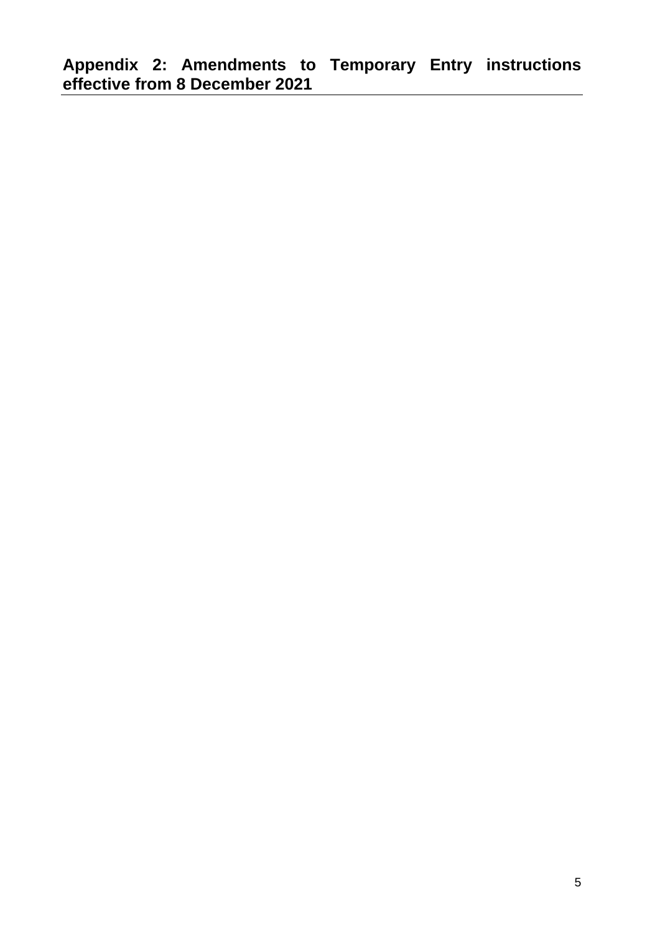**Appendix 2: Amendments to Temporary Entry instructions effective from 8 December 2021**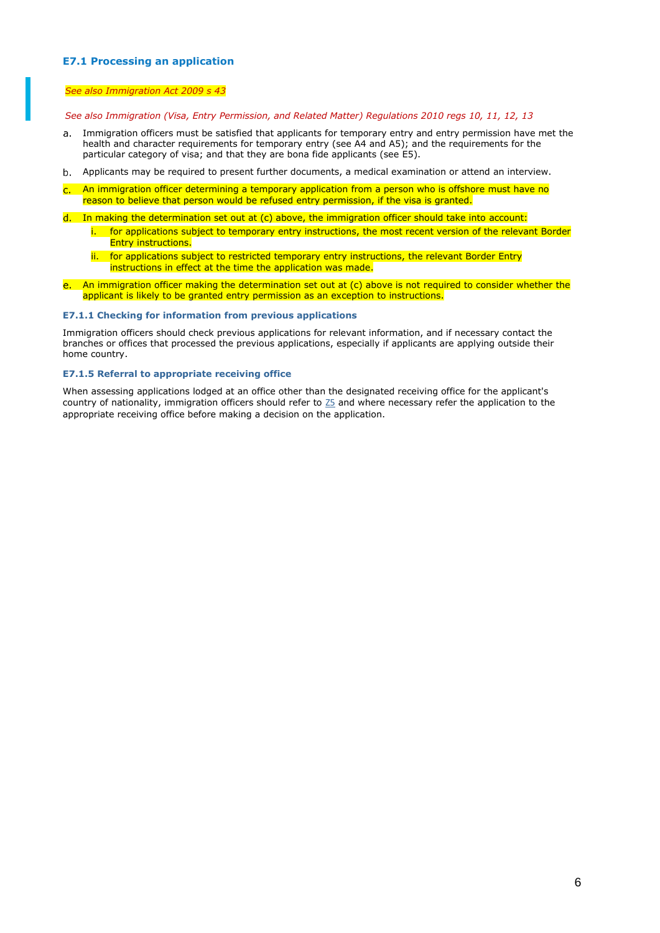#### **E7.1 Processing an application**

#### *See also Immigration Act 2009 s 43*

*See also Immigration (Visa, Entry Permission, and Related Matter) Regulations 2010 regs 10, 11, 12, 13*

- $a_{1}$ Immigration officers must be satisfied that applicants for temporary entry and entry permission have met the health and character requirements for temporary entry (see [A4](http://inzkit/publish/opsmanual/#35154.htm) and A5); and the requirements for the particular category of visa; and that they are bona fide applicants (see [E5\)](http://inzkit/publish/opsmanual/#34338.htm).
- Applicants may be required to present further documents, a medical examination or attend an interview.
- An immigration officer determining a temporary application from a person who is offshore must have no reason to believe that person would be refused entry permission, if the visa is granted.
- d. In making the determination set out at (c) above, the immigration officer should take into account:
	- i. for applications subject to temporary entry instructions, the most recent version of the relevant Border **Entry instructions.**
	- ii. for applications subject to restricted temporary entry instructions, the relevant Border Entry instructions in effect at the time the application was made.
- e. An immigration officer making the determination set out at (c) above is not required to consider whether the applicant is likely to be granted entry permission as an exception to instructions.

#### **E7.1.1 Checking for information from previous applications**

Immigration officers should check previous applications for relevant information, and if necessary contact the branches or offices that processed the previous applications, especially if applicants are applying outside their home country.

#### **E7.1.5 Referral to appropriate receiving office**

When assessing applications lodged at an office other than the designated receiving office for the applicant's country of nationality, immigration officers should refer to [Z5](http://inzkit/publish/opsmanual/#35007.htm) and where necessary refer the application to the appropriate receiving office before making a decision on the application.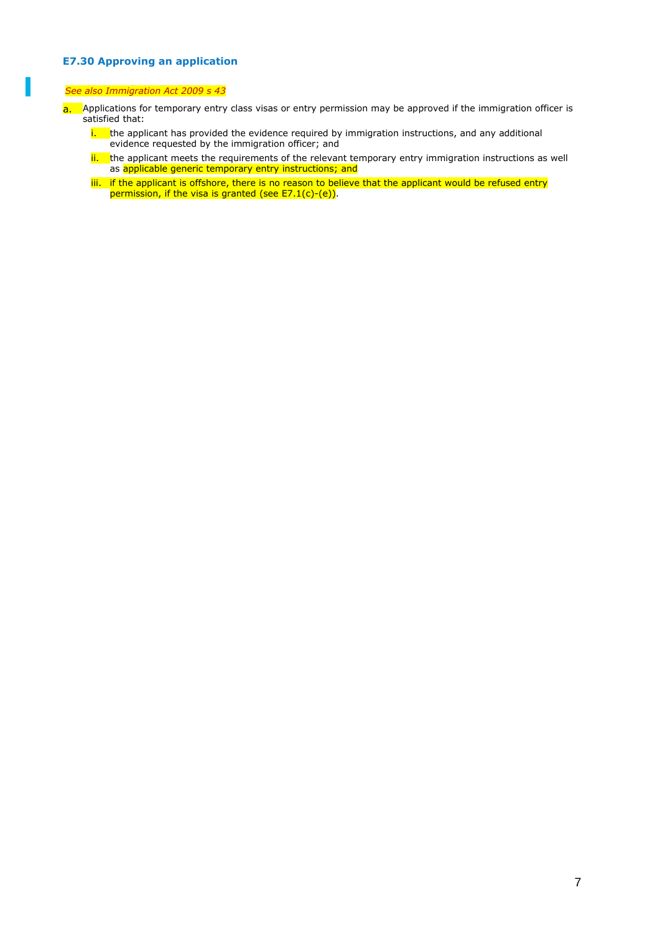### **E7.30 Approving an application**

#### *See also Immigration Act 2009 s 43*

- a. Applications for temporary entry class visas or entry permission may be approved if the immigration officer is satisfied that:
	- $\frac{1}{1}$  the applicant has provided the evidence required by immigration instructions, and any additional evidence requested by the immigration officer; and
	- ii. the applicant meets the requirements of the relevant temporary entry immigration instructions as well as applicable generic temporary entry instructions; and
	- iii. If the applicant is offshore, there is no reason to believe that the applicant would be refused entry permission, if the visa is granted (see E7.1(c)-(e)).